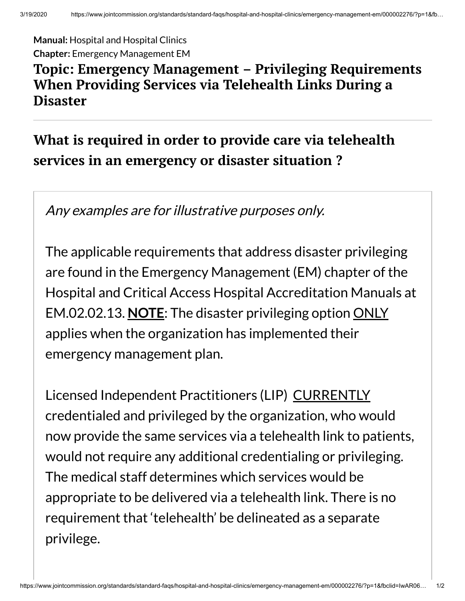**Manual:** Hospital and Hospital Clinics **Chapter:** Emergency Management EM

## **Topic: Emergency Management – Privileging Requirements When Providing Services via Telehealth Links During a Disaster**

## **What is required in order to provide care via telehealth services in an emergency or disaster situation ?**

Any examples are for illustrative purposes only.

The applicable requirements that address disaster privileging are found in the Emergency Management (EM) chapter of the Hospital and Critical Access Hospital Accreditation Manuals at EM.02.02.13. **NOTE**: The disaster privileging option ONLY applies when the organization has implemented their emergency management plan.

Licensed Independent Practitioners (LIP) CURRENTLY credentialed and privileged by the organization, who would now provide the same services via a telehealth link to patients, would not require any additional credentialing or privileging. The medical staff determines which services would be appropriate to be delivered via a telehealth link. There is no requirement that 'telehealth' be delineated as a separate privilege.